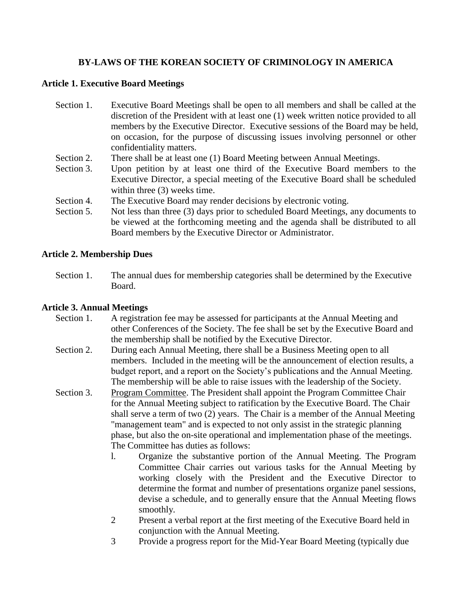# **BY-LAWS OF THE KOREAN SOCIETY OF CRIMINOLOGY IN AMERICA**

#### **Article 1. Executive Board Meetings**

- Section 1. Executive Board Meetings shall be open to all members and shall be called at the discretion of the President with at least one (1) week written notice provided to all members by the Executive Director. Executive sessions of the Board may be held, on occasion, for the purpose of discussing issues involving personnel or other confidentiality matters.
- Section 2. There shall be at least one (1) Board Meeting between Annual Meetings.
- Section 3. Upon petition by at least one third of the Executive Board members to the Executive Director, a special meeting of the Executive Board shall be scheduled within three (3) weeks time.
- Section 4. The Executive Board may render decisions by electronic voting.
- Section 5. Not less than three (3) days prior to scheduled Board Meetings, any documents to be viewed at the forthcoming meeting and the agenda shall be distributed to all Board members by the Executive Director or Administrator.

### **Article 2. Membership Dues**

Section 1. The annual dues for membership categories shall be determined by the Executive Board.

### **Article 3. Annual Meetings**

- Section 1. A registration fee may be assessed for participants at the Annual Meeting and other Conferences of the Society. The fee shall be set by the Executive Board and the membership shall be notified by the Executive Director.
- Section 2. During each Annual Meeting, there shall be a Business Meeting open to all members. Included in the meeting will be the announcement of election results, a budget report, and a report on the Society's publications and the Annual Meeting. The membership will be able to raise issues with the leadership of the Society.
- Section 3. Program Committee. The President shall appoint the Program Committee Chair for the Annual Meeting subject to ratification by the Executive Board. The Chair shall serve a term of two (2) years. The Chair is a member of the Annual Meeting "management team" and is expected to not only assist in the strategic planning phase, but also the on-site operational and implementation phase of the meetings. The Committee has duties as follows:
	- l. Organize the substantive portion of the Annual Meeting. The Program Committee Chair carries out various tasks for the Annual Meeting by working closely with the President and the Executive Director to determine the format and number of presentations organize panel sessions, devise a schedule, and to generally ensure that the Annual Meeting flows smoothly.
	- 2 Present a verbal report at the first meeting of the Executive Board held in conjunction with the Annual Meeting.
	- 3 Provide a progress report for the Mid-Year Board Meeting (typically due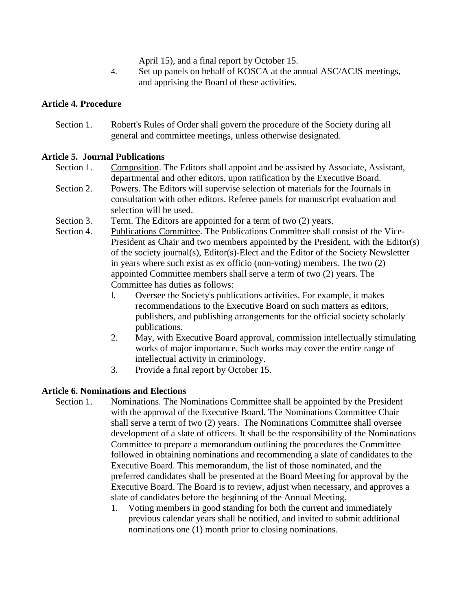April 15), and a final report by October 15.

4. Set up panels on behalf of KOSCA at the annual ASC/ACJS meetings, and apprising the Board of these activities.

### **Article 4. Procedure**

Section 1. Robert's Rules of Order shall govern the procedure of the Society during all general and committee meetings, unless otherwise designated.

### **Article 5. Journal Publications**

- Section 1. Composition. The Editors shall appoint and be assisted by Associate, Assistant, departmental and other editors, upon ratification by the Executive Board.
- Section 2. Powers. The Editors will supervise selection of materials for the Journals in consultation with other editors. Referee panels for manuscript evaluation and selection will be used.
- Section 3. Term. The Editors are appointed for a term of two (2) years.
- Section 4. Publications Committee. The Publications Committee shall consist of the Vice-President as Chair and two members appointed by the President, with the Editor(s) of the society journal(s), Editor(s)-Elect and the Editor of the Society Newsletter in years where such exist as ex officio (non-voting) members. The two (2) appointed Committee members shall serve a term of two (2) years. The Committee has duties as follows:
	- l. Oversee the Society's publications activities. For example, it makes recommendations to the Executive Board on such matters as editors, publishers, and publishing arrangements for the official society scholarly publications.
	- 2. May, with Executive Board approval, commission intellectually stimulating works of major importance. Such works may cover the entire range of intellectual activity in criminology.
	- 3. Provide a final report by October 15.

## **Article 6. Nominations and Elections**

- Section 1. Nominations. The Nominations Committee shall be appointed by the President with the approval of the Executive Board. The Nominations Committee Chair shall serve a term of two (2) years. The Nominations Committee shall oversee development of a slate of officers. It shall be the responsibility of the Nominations Committee to prepare a memorandum outlining the procedures the Committee followed in obtaining nominations and recommending a slate of candidates to the Executive Board. This memorandum, the list of those nominated, and the preferred candidates shall be presented at the Board Meeting for approval by the Executive Board. The Board is to review, adjust when necessary, and approves a slate of candidates before the beginning of the Annual Meeting.
	- 1. Voting members in good standing for both the current and immediately previous calendar years shall be notified, and invited to submit additional nominations one (1) month prior to closing nominations.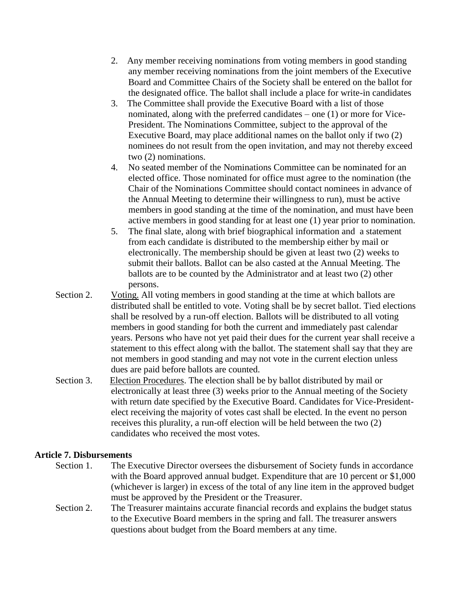- 2. Any member receiving nominations from voting members in good standing any member receiving nominations from the joint members of the Executive Board and Committee Chairs of the Society shall be entered on the ballot for the designated office. The ballot shall include a place for write-in candidates
- 3. The Committee shall provide the Executive Board with a list of those nominated, along with the preferred candidates – one (1) or more for Vice-President. The Nominations Committee, subject to the approval of the Executive Board, may place additional names on the ballot only if two (2) nominees do not result from the open invitation, and may not thereby exceed two (2) nominations.
- 4. No seated member of the Nominations Committee can be nominated for an elected office. Those nominated for office must agree to the nomination (the Chair of the Nominations Committee should contact nominees in advance of the Annual Meeting to determine their willingness to run), must be active members in good standing at the time of the nomination, and must have been active members in good standing for at least one (1) year prior to nomination.
- 5. The final slate, along with brief biographical information and a statement from each candidate is distributed to the membership either by mail or electronically. The membership should be given at least two (2) weeks to submit their ballots. Ballot can be also casted at the Annual Meeting. The ballots are to be counted by the Administrator and at least two (2) other persons.
- Section 2. Voting. All voting members in good standing at the time at which ballots are distributed shall be entitled to vote. Voting shall be by secret ballot. Tied elections shall be resolved by a run-off election. Ballots will be distributed to all voting members in good standing for both the current and immediately past calendar years. Persons who have not yet paid their dues for the current year shall receive a statement to this effect along with the ballot. The statement shall say that they are not members in good standing and may not vote in the current election unless dues are paid before ballots are counted.
- Section 3. Election Procedures. The election shall be by ballot distributed by mail or electronically at least three (3) weeks prior to the Annual meeting of the Society with return date specified by the Executive Board. Candidates for Vice-Presidentelect receiving the majority of votes cast shall be elected. In the event no person receives this plurality, a run-off election will be held between the two (2) candidates who received the most votes.

#### **Article 7. Disbursements**

- Section 1. The Executive Director oversees the disbursement of Society funds in accordance with the Board approved annual budget. Expenditure that are 10 percent or \$1,000 (whichever is larger) in excess of the total of any line item in the approved budget must be approved by the President or the Treasurer.
- Section 2. The Treasurer maintains accurate financial records and explains the budget status to the Executive Board members in the spring and fall. The treasurer answers questions about budget from the Board members at any time.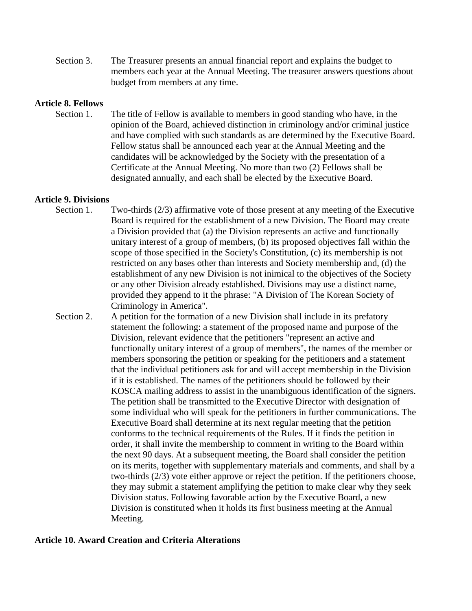Section 3. The Treasurer presents an annual financial report and explains the budget to members each year at the Annual Meeting. The treasurer answers questions about budget from members at any time.

### **Article 8. Fellows**

Section 1. The title of Fellow is available to members in good standing who have, in the opinion of the Board, achieved distinction in criminology and/or criminal justice and have complied with such standards as are determined by the Executive Board. Fellow status shall be announced each year at the Annual Meeting and the candidates will be acknowledged by the Society with the presentation of a Certificate at the Annual Meeting. No more than two (2) Fellows shall be designated annually, and each shall be elected by the Executive Board.

#### **Article 9. Divisions**

- Section 1. Two-thirds (2/3) affirmative vote of those present at any meeting of the Executive Board is required for the establishment of a new Division. The Board may create a Division provided that (a) the Division represents an active and functionally unitary interest of a group of members, (b) its proposed objectives fall within the scope of those specified in the Society's Constitution, (c) its membership is not restricted on any bases other than interests and Society membership and, (d) the establishment of any new Division is not inimical to the objectives of the Society or any other Division already established. Divisions may use a distinct name, provided they append to it the phrase: "A Division of The Korean Society of Criminology in America".
- Section 2. A petition for the formation of a new Division shall include in its prefatory statement the following: a statement of the proposed name and purpose of the Division, relevant evidence that the petitioners "represent an active and functionally unitary interest of a group of members", the names of the member or members sponsoring the petition or speaking for the petitioners and a statement that the individual petitioners ask for and will accept membership in the Division if it is established. The names of the petitioners should be followed by their KOSCA mailing address to assist in the unambiguous identification of the signers. The petition shall be transmitted to the Executive Director with designation of some individual who will speak for the petitioners in further communications. The Executive Board shall determine at its next regular meeting that the petition conforms to the technical requirements of the Rules. If it finds the petition in order, it shall invite the membership to comment in writing to the Board within the next 90 days. At a subsequent meeting, the Board shall consider the petition on its merits, together with supplementary materials and comments, and shall by a two-thirds (2/3) vote either approve or reject the petition. If the petitioners choose, they may submit a statement amplifying the petition to make clear why they seek Division status. Following favorable action by the Executive Board, a new Division is constituted when it holds its first business meeting at the Annual Meeting.

#### **Article 10. Award Creation and Criteria Alterations**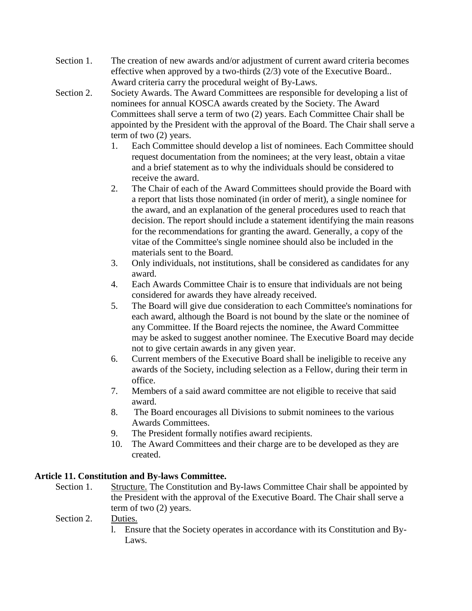- Section 1. The creation of new awards and/or adjustment of current award criteria becomes effective when approved by a two-thirds (2/3) vote of the Executive Board.. Award criteria carry the procedural weight of By-Laws.
- Section 2. Society Awards. The Award Committees are responsible for developing a list of nominees for annual KOSCA awards created by the Society. The Award Committees shall serve a term of two (2) years. Each Committee Chair shall be appointed by the President with the approval of the Board. The Chair shall serve a term of two (2) years.
	- 1. Each Committee should develop a list of nominees. Each Committee should request documentation from the nominees; at the very least, obtain a vitae and a brief statement as to why the individuals should be considered to receive the award.
	- 2. The Chair of each of the Award Committees should provide the Board with a report that lists those nominated (in order of merit), a single nominee for the award, and an explanation of the general procedures used to reach that decision. The report should include a statement identifying the main reasons for the recommendations for granting the award. Generally, a copy of the vitae of the Committee's single nominee should also be included in the materials sent to the Board.
	- 3. Only individuals, not institutions, shall be considered as candidates for any award.
	- 4. Each Awards Committee Chair is to ensure that individuals are not being considered for awards they have already received.
	- 5. The Board will give due consideration to each Committee's nominations for each award, although the Board is not bound by the slate or the nominee of any Committee. If the Board rejects the nominee, the Award Committee may be asked to suggest another nominee. The Executive Board may decide not to give certain awards in any given year.
	- 6. Current members of the Executive Board shall be ineligible to receive any awards of the Society, including selection as a Fellow, during their term in office.
	- 7. Members of a said award committee are not eligible to receive that said award.
	- 8. The Board encourages all Divisions to submit nominees to the various Awards Committees.
	- 9. The President formally notifies award recipients.
	- 10. The Award Committees and their charge are to be developed as they are created.

## **Article 11. Constitution and By-laws Committee.**

Section 1. Structure. The Constitution and By-laws Committee Chair shall be appointed by the President with the approval of the Executive Board. The Chair shall serve a term of two (2) years.

## Section 2. Duties.

l. Ensure that the Society operates in accordance with its Constitution and By-Laws.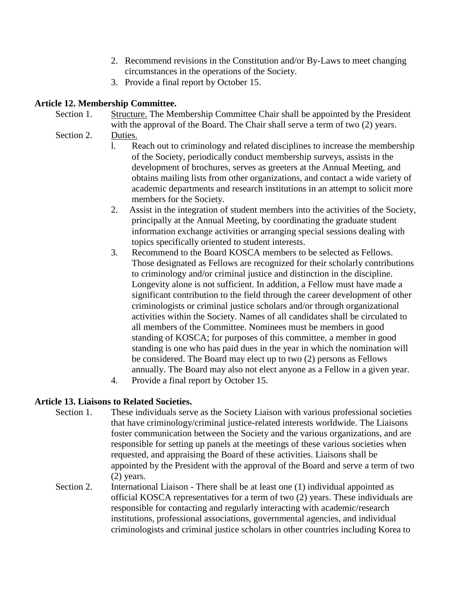- 2. Recommend revisions in the Constitution and/or By-Laws to meet changing circumstances in the operations of the Society.
- 3. Provide a final report by October 15.

## **Article 12. Membership Committee.**

- Section 1. Structure. The Membership Committee Chair shall be appointed by the President with the approval of the Board. The Chair shall serve a term of two  $(2)$  years.
- Section 2. Duties.
	- l. Reach out to criminology and related disciplines to increase the membership of the Society, periodically conduct membership surveys, assists in the development of brochures, serves as greeters at the Annual Meeting, and obtains mailing lists from other organizations, and contact a wide variety of academic departments and research institutions in an attempt to solicit more members for the Society.
	- 2. Assist in the integration of student members into the activities of the Society, principally at the Annual Meeting, by coordinating the graduate student information exchange activities or arranging special sessions dealing with topics specifically oriented to student interests.
	- 3. Recommend to the Board KOSCA members to be selected as Fellows. Those designated as Fellows are recognized for their scholarly contributions to criminology and/or criminal justice and distinction in the discipline. Longevity alone is not sufficient. In addition, a Fellow must have made a significant contribution to the field through the career development of other criminologists or criminal justice scholars and/or through organizational activities within the Society. Names of all candidates shall be circulated to all members of the Committee. Nominees must be members in good standing of KOSCA; for purposes of this committee, a member in good standing is one who has paid dues in the year in which the nomination will be considered. The Board may elect up to two (2) persons as Fellows annually. The Board may also not elect anyone as a Fellow in a given year.
	- 4. Provide a final report by October 15.

## **Article 13. Liaisons to Related Societies.**

- Section 1. These individuals serve as the Society Liaison with various professional societies that have criminology/criminal justice-related interests worldwide. The Liaisons foster communication between the Society and the various organizations, and are responsible for setting up panels at the meetings of these various societies when requested, and appraising the Board of these activities. Liaisons shall be appointed by the President with the approval of the Board and serve a term of two (2) years.
	- Section 2. International Liaison There shall be at least one (1) individual appointed as official KOSCA representatives for a term of two (2) years. These individuals are responsible for contacting and regularly interacting with academic/research institutions, professional associations, governmental agencies, and individual criminologists and criminal justice scholars in other countries including Korea to